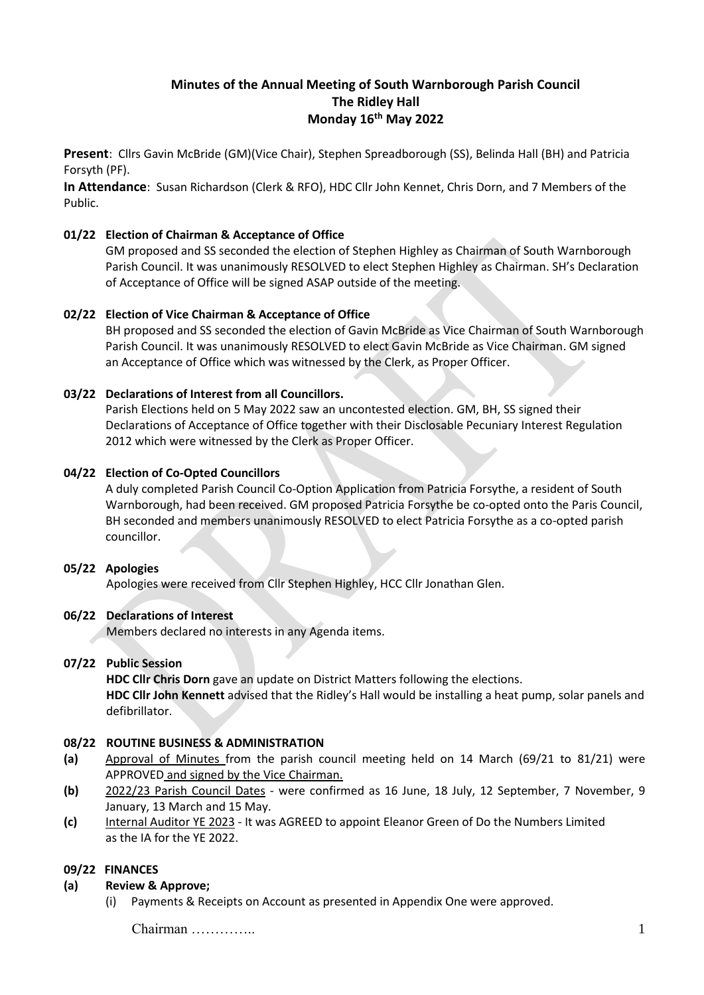# **Minutes of the Annual Meeting of South Warnborough Parish Council The Ridley Hall Monday 16 th May 2022**

**Present**: Cllrs Gavin McBride (GM)(Vice Chair), Stephen Spreadborough (SS), Belinda Hall (BH) and Patricia Forsyth (PF).

**In Attendance**: Susan Richardson (Clerk & RFO), HDC Cllr John Kennet, Chris Dorn, and 7 Members of the Public.

#### **01/22 Election of Chairman & Acceptance of Office**

GM proposed and SS seconded the election of Stephen Highley as Chairman of South Warnborough Parish Council. It was unanimously RESOLVED to elect Stephen Highley as Chairman. SH's Declaration of Acceptance of Office will be signed ASAP outside of the meeting.

### **02/22 Election of Vice Chairman & Acceptance of Office**

BH proposed and SS seconded the election of Gavin McBride as Vice Chairman of South Warnborough Parish Council. It was unanimously RESOLVED to elect Gavin McBride as Vice Chairman. GM signed an Acceptance of Office which was witnessed by the Clerk, as Proper Officer.

### **03/22 Declarations of Interest from all Councillors.**

Parish Elections held on 5 May 2022 saw an uncontested election. GM, BH, SS signed their Declarations of Acceptance of Office together with their Disclosable Pecuniary Interest Regulation 2012 which were witnessed by the Clerk as Proper Officer.

### **04/22 Election of Co-Opted Councillors**

A duly completed Parish Council Co-Option Application from Patricia Forsythe, a resident of South Warnborough, had been received. GM proposed Patricia Forsythe be co-opted onto the Paris Council, BH seconded and members unanimously RESOLVED to elect Patricia Forsythe as a co-opted parish councillor.

#### **05/22 Apologies**

Apologies were received from Cllr Stephen Highley, HCC Cllr Jonathan Glen.

### **06/22 Declarations of Interest**

Members declared no interests in any Agenda items.

#### **07/22 Public Session**

**HDC Cllr Chris Dorn** gave an update on District Matters following the elections. **HDC Cllr John Kennett** advised that the Ridley's Hall would be installing a heat pump, solar panels and defibrillator.

### **08/22 ROUTINE BUSINESS & ADMINISTRATION**

- **(a)** Approval of Minutes from the parish council meeting held on 14 March (69/21 to 81/21) were APPROVED and signed by the Vice Chairman.
- **(b)** 2022/23 Parish Council Dates were confirmed as 16 June, 18 July, 12 September, 7 November, 9 January, 13 March and 15 May.
- **(c)** Internal Auditor YE 2023 It was AGREED to appoint Eleanor Green of Do the Numbers Limited as the IA for the YE 2022.

#### **09/22 FINANCES**

#### **(a) Review & Approve;**

(i) Payments & Receipts on Account as presented in Appendix One were approved.

Chairman ………….. 1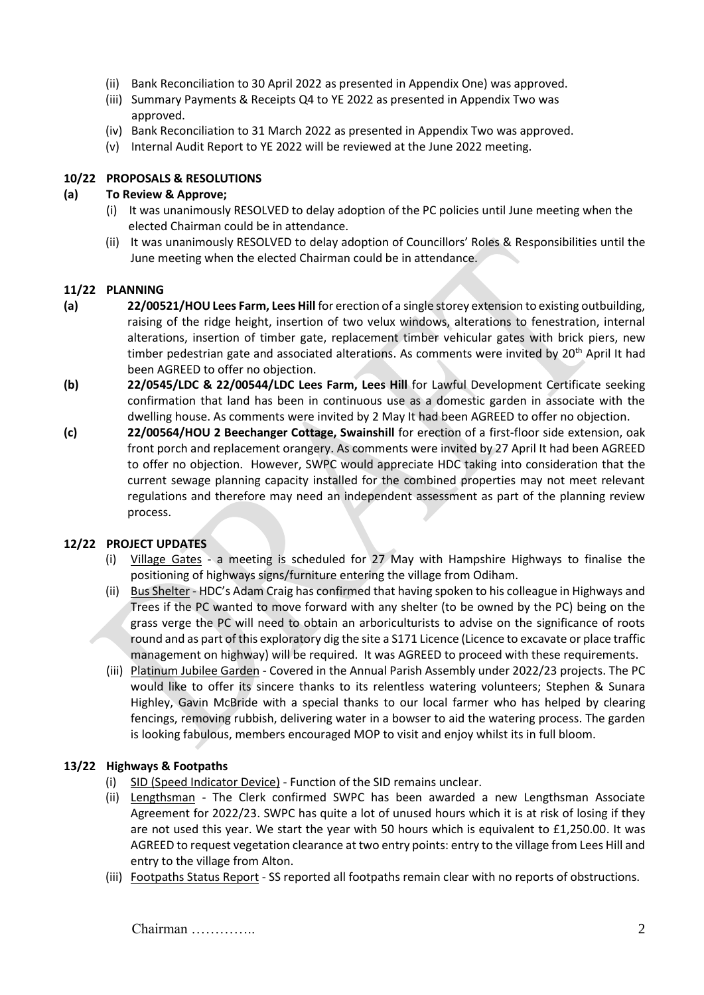- (ii) Bank Reconciliation to 30 April 2022 as presented in Appendix One) was approved.
- (iii) Summary Payments & Receipts Q4 to YE 2022 as presented in Appendix Two was approved.
- (iv) Bank Reconciliation to 31 March 2022 as presented in Appendix Two was approved.
- (v) Internal Audit Report to YE 2022 will be reviewed at the June 2022 meeting.

### **10/22 PROPOSALS & RESOLUTIONS**

### **(a) To Review & Approve;**

- (i) It was unanimously RESOLVED to delay adoption of the PC policies until June meeting when the elected Chairman could be in attendance.
- (ii) It was unanimously RESOLVED to delay adoption of Councillors' Roles & Responsibilities until the June meeting when the elected Chairman could be in attendance.

#### **11/22 PLANNING**

- **(a) 22/00521/HOU Lees Farm, Lees Hill** for erection of a single storey extension to existing outbuilding, raising of the ridge height, insertion of two velux windows, alterations to fenestration, internal alterations, insertion of timber gate, replacement timber vehicular gates with brick piers, new timber pedestrian gate and associated alterations. As comments were invited by 20<sup>th</sup> April It had been AGREED to offer no objection.
- **(b) 22/0545/LDC & 22/00544/LDC Lees Farm, Lees Hill** for Lawful Development Certificate seeking confirmation that land has been in continuous use as a domestic garden in associate with the dwelling house. As comments were invited by 2 May It had been AGREED to offer no objection.
- **(c) 22/00564/HOU 2 Beechanger Cottage, Swainshill** for erection of a first-floor side extension, oak front porch and replacement orangery. As comments were invited by 27 April It had been AGREED to offer no objection. However, SWPC would appreciate HDC taking into consideration that the current sewage planning capacity installed for the combined properties may not meet relevant regulations and therefore may need an independent assessment as part of the planning review process.

#### **12/22 PROJECT UPDATES**

- (i) Village Gates a meeting is scheduled for 27 May with Hampshire Highways to finalise the positioning of highways signs/furniture entering the village from Odiham.
- (ii) Bus Shelter HDC's Adam Craig has confirmed that having spoken to his colleague in Highways and Trees if the PC wanted to move forward with any shelter (to be owned by the PC) being on the grass verge the PC will need to obtain an arboriculturists to advise on the significance of roots round and as part of this exploratory dig the site a S171 Licence (Licence to excavate or place traffic management on highway) will be required. It was AGREED to proceed with these requirements.
- (iii) Platinum Jubilee Garden Covered in the Annual Parish Assembly under 2022/23 projects. The PC would like to offer its sincere thanks to its relentless watering volunteers; Stephen & Sunara Highley, Gavin McBride with a special thanks to our local farmer who has helped by clearing fencings, removing rubbish, delivering water in a bowser to aid the watering process. The garden is looking fabulous, members encouraged MOP to visit and enjoy whilst its in full bloom.

## **13/22 Highways & Footpaths**

- (i) SID (Speed Indicator Device) Function of the SID remains unclear.
- (ii) Lengthsman The Clerk confirmed SWPC has been awarded a new Lengthsman Associate Agreement for 2022/23. SWPC has quite a lot of unused hours which it is at risk of losing if they are not used this year. We start the year with 50 hours which is equivalent to £1,250.00. It was AGREED to request vegetation clearance at two entry points: entry to the village from Lees Hill and entry to the village from Alton.
- (iii) Footpaths Status Report SS reported all footpaths remain clear with no reports of obstructions.

Chairman ………….. 2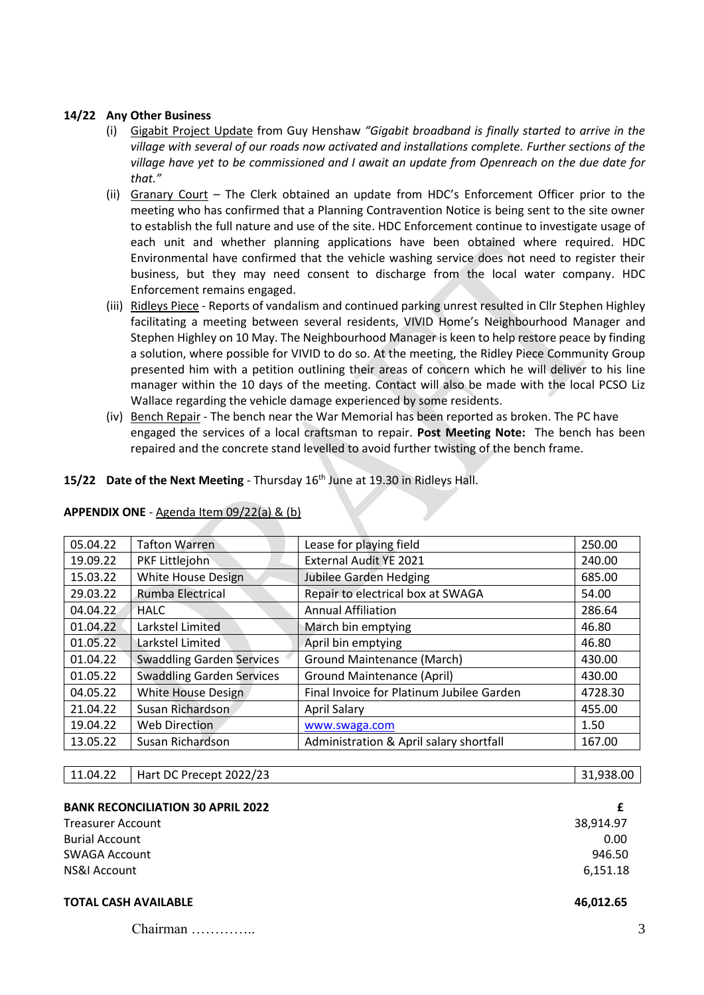### **14/22 Any Other Business**

- (i) Gigabit Project Update from Guy Henshaw *"Gigabit broadband is finally started to arrive in the village with several of our roads now activated and installations complete. Further sections of the village have yet to be commissioned and I await an update from Openreach on the due date for that."*
- (ii) Granary Court The Clerk obtained an update from HDC's Enforcement Officer prior to the meeting who has confirmed that a Planning Contravention Notice is being sent to the site owner to establish the full nature and use of the site. HDC Enforcement continue to investigate usage of each unit and whether planning applications have been obtained where required. HDC Environmental have confirmed that the vehicle washing service does not need to register their business, but they may need consent to discharge from the local water company. HDC Enforcement remains engaged.
- (iii) Ridleys Piece Reports of vandalism and continued parking unrest resulted in Cllr Stephen Highley facilitating a meeting between several residents, VIVID Home's Neighbourhood Manager and Stephen Highley on 10 May. The Neighbourhood Manager is keen to help restore peace by finding a solution, where possible for VIVID to do so. At the meeting, the Ridley Piece Community Group presented him with a petition outlining their areas of concern which he will deliver to his line manager within the 10 days of the meeting. Contact will also be made with the local PCSO Liz Wallace regarding the vehicle damage experienced by some residents.
- (iv) Bench Repair The bench near the War Memorial has been reported as broken. The PC have engaged the services of a local craftsman to repair. **Post Meeting Note:** The bench has been repaired and the concrete stand levelled to avoid further twisting of the bench frame.

#### **15/22 Date of the Next Meeting** - Thursday 16th June at 19.30 in Ridleys Hall.

| 05.04.22<br><b>Tafton Warren</b>             |                           | Lease for playing field                   | 250.00  |
|----------------------------------------------|---------------------------|-------------------------------------------|---------|
| 19.09.22<br>PKF Littlejohn                   |                           | External Audit YE 2021                    | 240.00  |
| White House Design<br>15.03.22               |                           | <b>Jubilee Garden Hedging</b>             | 685.00  |
| Rumba Electrical<br>29.03.22                 |                           | Repair to electrical box at SWAGA         | 54.00   |
| 04.04.22<br><b>HALC</b>                      |                           | <b>Annual Affiliation</b>                 | 286.64  |
| 01.04.22<br>Larkstel Limited                 |                           | March bin emptying                        | 46.80   |
| Larkstel Limited<br>01.05.22                 |                           | April bin emptying                        | 46.80   |
| <b>Swaddling Garden Services</b><br>01.04.22 |                           | Ground Maintenance (March)                | 430.00  |
| <b>Swaddling Garden Services</b><br>01.05.22 |                           | <b>Ground Maintenance (April)</b>         | 430.00  |
| 04.05.22                                     | <b>White House Design</b> | Final Invoice for Platinum Jubilee Garden | 4728.30 |
| Susan Richardson<br>21.04.22                 |                           | <b>April Salary</b>                       | 455.00  |
| 19.04.22                                     | <b>Web Direction</b>      | www.swaga.com                             | 1.50    |
| 13.05.22                                     | Susan Richardson          | Administration & April salary shortfall   | 167.00  |

#### **APPENDIX ONE** - Agenda Item 09/22(a) & (b)

| 11.04.22 | Hart DC Precept 2022/23 | 31,938.00 |
|----------|-------------------------|-----------|
|          |                         |           |

| <b>BANK RECONCILIATION 30 APRIL 2022</b> |           |
|------------------------------------------|-----------|
| <b>Treasurer Account</b>                 | 38.914.97 |
| <b>Burial Account</b>                    | 0.00      |
| <b>SWAGA Account</b>                     | 946.50    |
| NS&I Account                             | 6,151.18  |
|                                          |           |

## **TOTAL CASH AVAILABLE 46,012.65**

Chairman ………….. 3